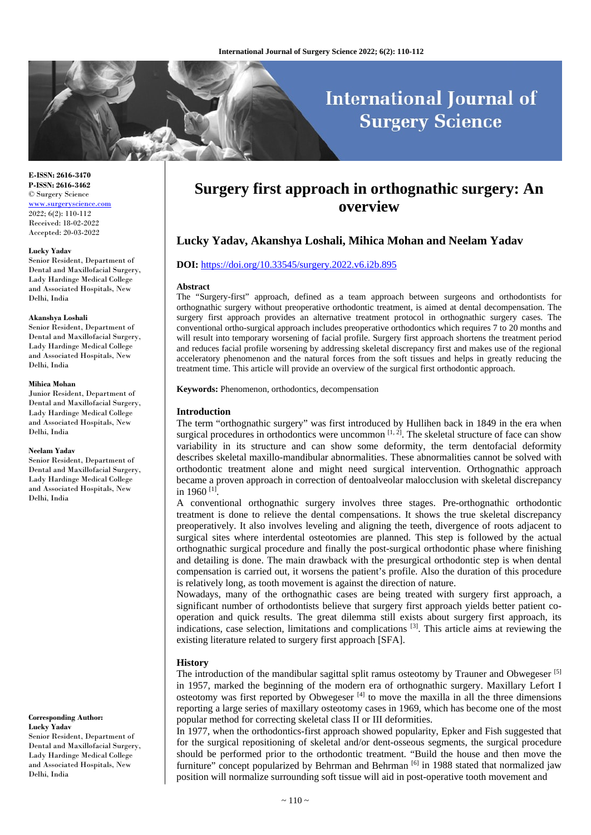# **International Journal of Surgery Science**

**E-ISSN: 2616-3470 P-ISSN: 2616-3462** © Surgery Science [www.surgeryscience.com](http://www.surgeryscience.com/) 2022; 6(2): 110-112 Received: 18-02-2022 Accepted: 20-03-2022

#### **Lucky Yadav**

Senior Resident, Department of Dental and Maxillofacial Surgery, Lady Hardinge Medical College and Associated Hospitals, New Delhi, India

#### **Akanshya Loshali**

Senior Resident, Department of Dental and Maxillofacial Surgery, Lady Hardinge Medical College and Associated Hospitals, New Delhi, India

#### **Mihica Mohan**

Junior Resident, Department of Dental and Maxillofacial Surgery, Lady Hardinge Medical College and Associated Hospitals, New Delhi, India

#### **Neelam Yadav**

Senior Resident, Department of Dental and Maxillofacial Surgery, Lady Hardinge Medical College and Associated Hospitals, New Delhi, India

**Corresponding Author: Lucky Yadav** Senior Resident, Department of Dental and Maxillofacial Surgery, Lady Hardinge Medical College and Associated Hospitals, New Delhi, India

# **Surgery first approach in orthognathic surgery: An overview**

# **Lucky Yadav, Akanshya Loshali, Mihica Mohan and Neelam Yadav**

#### **DOI:** <https://doi.org/10.33545/surgery.2022.v6.i2b.895>

#### **Abstract**

The "Surgery-first" approach, defined as a team approach between surgeons and orthodontists for orthognathic surgery without preoperative orthodontic treatment, is aimed at dental decompensation. The surgery first approach provides an alternative treatment protocol in orthognathic surgery cases. The conventional ortho-surgical approach includes preoperative orthodontics which requires 7 to 20 months and will result into temporary worsening of facial profile. Surgery first approach shortens the treatment period and reduces facial profile worsening by addressing skeletal discrepancy first and makes use of the regional acceleratory phenomenon and the natural forces from the soft tissues and helps in greatly reducing the treatment time. This article will provide an overview of the surgical first orthodontic approach.

**Keywords:** Phenomenon, orthodontics, decompensation

#### **Introduction**

The term "orthognathic surgery" was first introduced by Hullihen back in 1849 in the era when surgical procedures in orthodontics were uncommon  $[1, 2]$ . The skeletal structure of face can show variability in its structure and can show some deformity, the term dentofacial deformity describes skeletal maxillo-mandibular abnormalities. These abnormalities cannot be solved with orthodontic treatment alone and might need surgical intervention. Orthognathic approach became a proven approach in correction of dentoalveolar malocclusion with skeletal discrepancy in 1960 [1] .

A conventional orthognathic surgery involves three stages. Pre-orthognathic orthodontic treatment is done to relieve the dental compensations. It shows the true skeletal discrepancy preoperatively. It also involves leveling and aligning the teeth, divergence of roots adjacent to surgical sites where interdental osteotomies are planned. This step is followed by the actual orthognathic surgical procedure and finally the post-surgical orthodontic phase where finishing and detailing is done. The main drawback with the presurgical orthodontic step is when dental compensation is carried out, it worsens the patient's profile. Also the duration of this procedure is relatively long, as tooth movement is against the direction of nature.

Nowadays, many of the orthognathic cases are being treated with surgery first approach, a significant number of orthodontists believe that surgery first approach yields better patient cooperation and quick results. The great dilemma still exists about surgery first approach, its indications, case selection, limitations and complications <sup>[3]</sup>. This article aims at reviewing the existing literature related to surgery first approach [SFA].

#### **History**

The introduction of the mandibular sagittal split ramus osteotomy by Trauner and Obwegeser [5] in 1957, marked the beginning of the modern era of orthognathic surgery. Maxillary Lefort I osteotomy was first reported by Obwegeser  $[4]$  to move the maxilla in all the three dimensions reporting a large series of maxillary osteotomy cases in 1969, which has become one of the most popular method for correcting skeletal class II or III deformities.

In 1977, when the orthodontics-first approach showed popularity, Epker and Fish suggested that for the surgical repositioning of skeletal and/or dent-osseous segments, the surgical procedure should be performed prior to the orthodontic treatment. "Build the house and then move the furniture" concept popularized by Behrman and Behrman <sup>[6]</sup> in 1988 stated that normalized jaw position will normalize surrounding soft tissue will aid in post-operative tooth movement and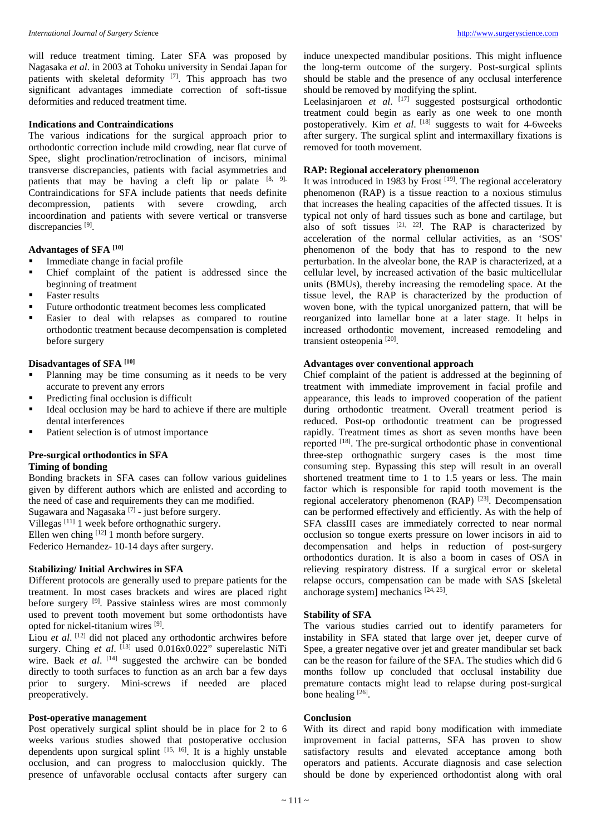will reduce treatment timing. Later SFA was proposed by Nagasaka *et al*. in 2003 at Tohoku university in Sendai Japan for patients with skeletal deformity <sup>[7]</sup>. This approach has two significant advantages immediate correction of soft-tissue deformities and reduced treatment time.

# **Indications and Contraindications**

The various indications for the surgical approach prior to orthodontic correction include mild crowding, near flat curve of Spee, slight proclination/retroclination of incisors, minimal transverse discrepancies, patients with facial asymmetries and patients that may be having a cleft lip or palate  $[8, 9]$ . Contraindications for SFA include patients that needs definite decompression, patients with severe crowding, arch incoordination and patients with severe vertical or transverse discrepancies [9].

# **Advantages of SFA [10]**

- Immediate change in facial profile
- Chief complaint of the patient is addressed since the beginning of treatment
- Faster results
- Future orthodontic treatment becomes less complicated
- Easier to deal with relapses as compared to routine orthodontic treatment because decompensation is completed before surgery

#### **Disadvantages of SFA [10]**

- Planning may be time consuming as it needs to be very accurate to prevent any errors
- Predicting final occlusion is difficult
- Ideal occlusion may be hard to achieve if there are multiple dental interferences
- Patient selection is of utmost importance

# **Pre-surgical orthodontics in SFA Timing of bonding**

Bonding brackets in SFA cases can follow various guidelines given by different authors which are enlisted and according to the need of case and requirements they can me modified. Sugawara and Nagasaka<sup>[7]</sup> - just before surgery.

Villegas [11] 1 week before orthognathic surgery. Ellen wen ching  $^{[12]}$  1 month before surgery. Federico Hernandez- 10-14 days after surgery.

### **Stabilizing/ Initial Archwires in SFA**

Different protocols are generally used to prepare patients for the treatment. In most cases brackets and wires are placed right before surgery <sup>[9]</sup>. Passive stainless wires are most commonly used to prevent tooth movement but some orthodontists have opted for nickel-titanium wires [9].

Liou *et al.* <sup>[12]</sup> did not placed any orthodontic archwires before surgery. Ching *et al.* [13] used 0.016x0.022" superelastic NiTi wire. Baek et al. [14] suggested the archwire can be bonded directly to tooth surfaces to function as an arch bar a few days prior to surgery. Mini-screws if needed are placed preoperatively.

#### **Post-operative management**

Post operatively surgical splint should be in place for 2 to 6 weeks various studies showed that postoperative occlusion dependents upon surgical splint [15, 16]. It is a highly unstable occlusion, and can progress to malocclusion quickly. The presence of unfavorable occlusal contacts after surgery can

induce unexpected mandibular positions. This might influence the long-term outcome of the surgery. Post-surgical splints should be stable and the presence of any occlusal interference should be removed by modifying the splint.

Leelasinjaroen *et al.* [17] suggested postsurgical orthodontic treatment could begin as early as one week to one month postoperatively. Kim *et al.* <sup>[18]</sup> suggests to wait for 4-6weeks after surgery. The surgical splint and intermaxillary fixations is removed for tooth movement.

### **RAP: Regional acceleratory phenomenon**

It was introduced in 1983 by Frost  $[19]$ . The regional acceleratory phenomenon (RAP) is a tissue reaction to a noxious stimulus that increases the healing capacities of the affected tissues. It is typical not only of hard tissues such as bone and cartilage, but also of soft tissues  $[21, 22]$ . The RAP is characterized by acceleration of the normal cellular activities, as an 'SOS' phenomenon of the body that has to respond to the new perturbation. In the alveolar bone, the RAP is characterized, at a cellular level, by increased activation of the basic multicellular units (BMUs), thereby increasing the remodeling space. At the tissue level, the RAP is characterized by the production of woven bone, with the typical unorganized pattern, that will be reorganized into lamellar bone at a later stage. It helps in increased orthodontic movement, increased remodeling and transient osteopenia<sup>[20]</sup>.

# **Advantages over conventional approach**

Chief complaint of the patient is addressed at the beginning of treatment with immediate improvement in facial profile and appearance, this leads to improved cooperation of the patient during orthodontic treatment. Overall treatment period is reduced. Post-op orthodontic treatment can be progressed rapidly. Treatment times as short as seven months have been reported <sup>[18]</sup>. The pre-surgical orthodontic phase in conventional three-step orthognathic surgery cases is the most time consuming step. Bypassing this step will result in an overall shortened treatment time to 1 to 1.5 years or less. The main factor which is responsible for rapid tooth movement is the regional acceleratory phenomenon (RAP)<sup>[23]</sup>. Decompensation can be performed effectively and efficiently. As with the help of SFA classIII cases are immediately corrected to near normal occlusion so tongue exerts pressure on lower incisors in aid to decompensation and helps in reduction of post-surgery orthodontics duration. It is also a boom in cases of OSA in relieving respiratory distress. If a surgical error or skeletal relapse occurs, compensation can be made with SAS [skeletal anchorage system] mechanics [24, 25] .

# **Stability of SFA**

The various studies carried out to identify parameters for instability in SFA stated that large over jet, deeper curve of Spee, a greater negative over jet and greater mandibular set back can be the reason for failure of the SFA. The studies which did 6 months follow up concluded that occlusal instability due premature contacts might lead to relapse during post-surgical bone healing [26].

#### **Conclusion**

With its direct and rapid bony modification with immediate improvement in facial patterns, SFA has proven to show satisfactory results and elevated acceptance among both operators and patients. Accurate diagnosis and case selection should be done by experienced orthodontist along with oral